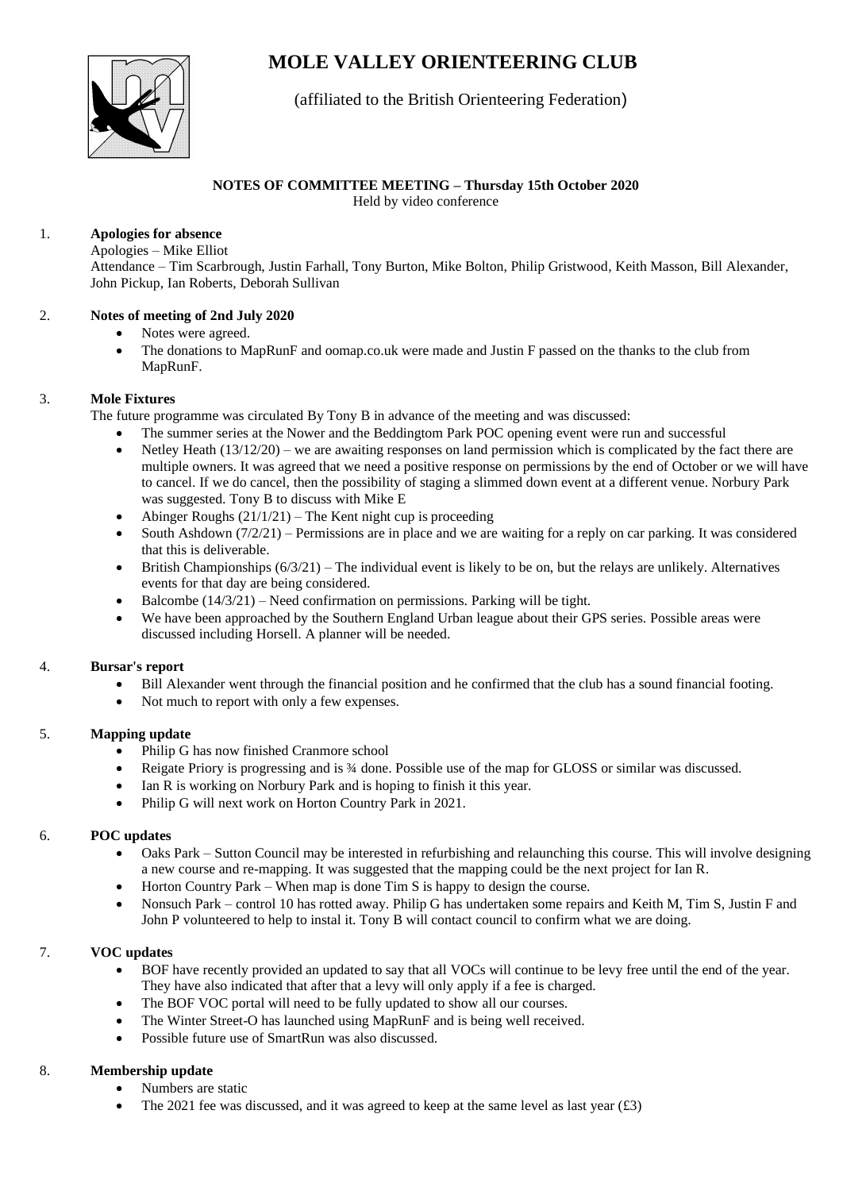# **MOLE VALLEY ORIENTEERING CLUB**



# (affiliated to the British Orienteering Federation)

# **NOTES OF COMMITTEE MEETING – Thursday 15th October 2020**

Held by video conference

#### 1. **Apologies for absence**

Apologies – Mike Elliot

Attendance – Tim Scarbrough, Justin Farhall, Tony Burton, Mike Bolton, Philip Gristwood, Keith Masson, Bill Alexander, John Pickup, Ian Roberts, Deborah Sullivan

#### 2. **Notes of meeting of 2nd July 2020**

- Notes were agreed.
- The donations to MapRunF and oomap.co.uk were made and Justin F passed on the thanks to the club from MapRunF.

## 3. **Mole Fixtures**

The future programme was circulated By Tony B in advance of the meeting and was discussed:

- The summer series at the Nower and the Beddingtom Park POC opening event were run and successful
- Netley Heath  $(13/12/20)$  we are awaiting responses on land permission which is complicated by the fact there are multiple owners. It was agreed that we need a positive response on permissions by the end of October or we will have to cancel. If we do cancel, then the possibility of staging a slimmed down event at a different venue. Norbury Park was suggested. Tony B to discuss with Mike E
- Abinger Roughs (21/1/21) The Kent night cup is proceeding
- South Ashdown (7/2/21) Permissions are in place and we are waiting for a reply on car parking. It was considered that this is deliverable.
- British Championships  $(6/3/21)$  The individual event is likely to be on, but the relays are unlikely. Alternatives events for that day are being considered.
- Balcombe (14/3/21) Need confirmation on permissions. Parking will be tight.
- We have been approached by the Southern England Urban league about their GPS series. Possible areas were discussed including Horsell. A planner will be needed.

## 4. **Bursar's report**

- Bill Alexander went through the financial position and he confirmed that the club has a sound financial footing.
- Not much to report with only a few expenses.

## 5. **Mapping update**

- Philip G has now finished Cranmore school
- Reigate Priory is progressing and is ¾ done. Possible use of the map for GLOSS or similar was discussed.
- Ian R is working on Norbury Park and is hoping to finish it this year.
- Philip G will next work on Horton Country Park in 2021.

## 6. **POC updates**

- Oaks Park Sutton Council may be interested in refurbishing and relaunching this course. This will involve designing a new course and re-mapping. It was suggested that the mapping could be the next project for Ian R.
- Horton Country Park When map is done Tim S is happy to design the course.
- Nonsuch Park control 10 has rotted away. Philip G has undertaken some repairs and Keith M, Tim S, Justin F and John P volunteered to help to instal it. Tony B will contact council to confirm what we are doing.

## 7. **VOC updates**

- BOF have recently provided an updated to say that all VOCs will continue to be levy free until the end of the year. They have also indicated that after that a levy will only apply if a fee is charged.
- The BOF VOC portal will need to be fully updated to show all our courses.
- The Winter Street-O has launched using MapRunF and is being well received.
- Possible future use of SmartRun was also discussed.

## 8. **Membership update**

- Numbers are static
- The 2021 fee was discussed, and it was agreed to keep at the same level as last year  $(\text{\pounds}3)$